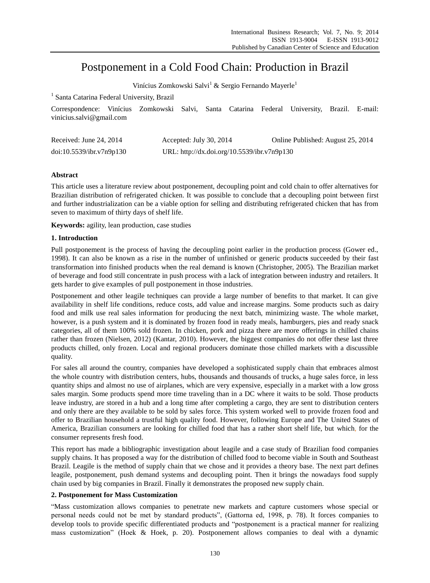# Postponement in a Cold Food Chain: Production in Brazil

Vin ćius Zomkowski Salvi<sup>1</sup> & Sergio Fernando Mayerle<sup>1</sup>

<sup>1</sup> Santa Catarina Federal University, Brazil

Correspondence: Vin cius Zomkowski Salvi, Santa Catarina Federal University, Brazil. E-mail: vinicius.salvi@gmail.com

| Received: June $24, 2014$ | Accepted: July 30, 2014                     | Online Published: August 25, 2014 |
|---------------------------|---------------------------------------------|-----------------------------------|
| doi:10.5539/ibr.v7n9p130  | URL: http://dx.doi.org/10.5539/ibr.v7n9p130 |                                   |

# **Abstract**

This article uses a literature review about postponement, decoupling point and cold chain to offer alternatives for Brazilian distribution of refrigerated chicken. It was possible to conclude that a decoupling point between first and further industrialization can be a viable option for selling and distributing refrigerated chicken that has from seven to maximum of thirty days of shelf life.

**Keywords:** agility, lean production, case studies

## **1. Introduction**

Pull postponement is the process of having the decoupling point earlier in the production process (Gower ed., 1998). It can also be known as a rise in the number of unfinished or generic product**s** succeeded by their fast transformation into finished products when the real demand is known (Christopher, 2005). The Brazilian market of beverage and food still concentrate in push process with a lack of integration between industry and retailers. It gets harder to give examples of pull postponement in those industries.

Postponement and other leagile techniques can provide a large number of benefits to that market. It can give availability in shelf life conditions, reduce costs, add value and increase margins. Some products such as dairy food and milk use real sales information for producing the next batch, minimizing waste. The whole market, however, is a push system and it is dominated by frozen food in ready meals, hamburgers, pies and ready snack categories, all of them 100% sold frozen. In chicken, pork and pizza there are more offerings in chilled chains rather than frozen (Nielsen, 2012) (Kantar, 2010). However, the biggest companies do not offer these last three products chilled, only frozen. Local and regional producers dominate those chilled markets with a discussible quality.

For sales all around the country, companies have developed a sophisticated supply chain that embraces almost the whole country with distribution centers, hubs, thousands and thousands of trucks, a huge sales force, in less quantity ships and almost no use of airplanes, which are very expensive, especially in a market with a low gross sales margin. Some products spend more time traveling than in a DC where it waits to be sold. Those products leave industry, are stored in a hub and a long time after completing a cargo, they are sent to distribution centers and only there are they available to be sold by sales force. This system worked well to provide frozen food and offer to Brazilian household a trustful high quality food. However, following Europe and The United States of America, Brazilian consumers are looking for chilled food that has a rather short shelf life, but which, for the consumer represents fresh food.

This report has made a bibliographic investigation about leagile and a case study of Brazilian food companies supply chains. It has proposed a way for the distribution of chilled food to become viable in South and Southeast Brazil. Leagile is the method of supply chain that we chose and it provides a theory base. The next part defines leagile, postponement, push demand systems and decoupling point. Then it brings the nowadays food supply chain used by big companies in Brazil. Finally it demonstrates the proposed new supply chain.

## **2. Postponement for Mass Customization**

―Mass customization allows companies to penetrate new markets and capture customers whose special or personal needs could not be met by standard products", (Gattorna ed, 1998, p. 78). It forces companies to develop tools to provide specific differentiated products and "postponement is a practical manner for realizing mass customization" (Hoek & Hoek, p. 20). Postponement allows companies to deal with a dynamic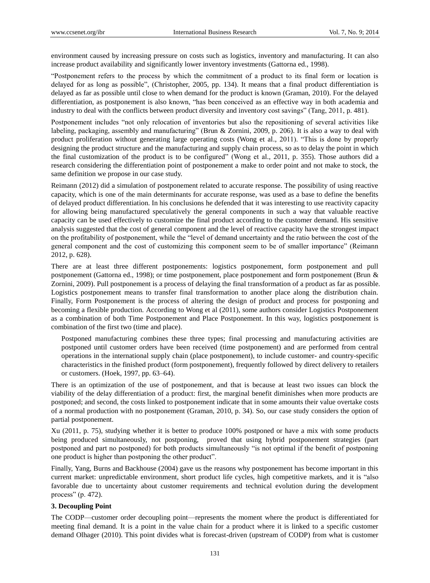environment caused by increasing pressure on costs such as logistics, inventory and manufacturing. It can also increase product availability and significantly lower inventory investments (Gattorna ed., 1998).

―Postponement refers to the process by which the commitment of a product to its final form or location is delayed for as long as possible", (Christopher, 2005, pp. 134). It means that a final product differentiation is delayed as far as possible until close to when demand for the product is known (Graman, 2010). For the delayed differentiation, as postponement is also known, "has been conceived as an effective way in both academia and industry to deal with the conflicts between product diversity and inventory cost savings" (Tang, 2011, p. 481).

Postponement includes "not only relocation of inventories but also the repositioning of several activities like labeling, packaging, assembly and manufacturing" (Brun & Zornini, 2009, p. 206). It is also a way to deal with product proliferation without generating large operating costs (Wong et al., 2011). "This is done by properly designing the product structure and the manufacturing and supply chain process, so as to delay the point in which the final customization of the product is to be configured" (Wong et al., 2011, p. 355). Those authors did a research considering the differentiation point of postponement a make to order point and not make to stock, the same definition we propose in our case study.

Reimann (2012) did a simulation of postponement related to accurate response. The possibility of using reactive capacity, which is one of the main determinants for accurate response, was used as a base to define the benefits of delayed product differentiation. In his conclusions he defended that it was interesting to use reactivity capacity for allowing being manufactured speculatively the general components in such a way that valuable reactive capacity can be used effectively to customize the final product according to the customer demand. His sensitive analysis suggested that the cost of general component and the level of reactive capacity have the strongest impact on the profitability of postponement, while the "level of demand uncertainty and the ratio between the cost of the general component and the cost of customizing this component seem to be of smaller importance" (Reimann 2012, p. 628).

There are at least three different postponements: logistics postponement, form postponement and pull postponement (Gattorna ed., 1998); or time postponement, place postponement and form postponement (Brun & Zornini, 2009). Pull postponement is a process of delaying the final transformation of a product as far as possible. Logistics postponement means to transfer final transformation to another place along the distribution chain. Finally, Form Postponement is the process of altering the design of product and process for postponing and becoming a flexible production. According to Wong et al (2011), some authors consider Logistics Postponement as a combination of both Time Postponement and Place Postponement. In this way, logistics postponement is combination of the first two (time and place).

Postponed manufacturing combines these three types; final processing and manufacturing activities are postponed until customer orders have been received (time postponement) and are performed from central operations in the international supply chain (place postponement), to include customer- and country-specific characteristics in the finished product (form postponement), frequently followed by direct delivery to retailers or customers. (Hoek, 1997, pp. 63–64).

There is an optimization of the use of postponement, and that is because at least two issues can block the viability of the delay differentiation of a product: first, the marginal benefit diminishes when more products are postponed; and second, the costs linked to postponement indicate that in some amounts their value overtake costs of a normal production with no postponement (Graman, 2010, p. 34). So, our case study considers the option of partial postponement.

Xu (2011, p. 75), studying whether it is better to produce 100% postponed or have a mix with some products being produced simultaneously, not postponing, proved that using hybrid postponement strategies (part postponed and part no postponed) for both products simultaneously "is not optimal if the benefit of postponing one product is higher than postponing the other product".

Finally, Yang, Burns and Backhouse (2004) gave us the reasons why postponement has become important in this current market: unpredictable environment, short product life cycles, high competitive markets, and it is "also favorable due to uncertainty about customer requirements and technical evolution during the development process" (p. 472).

## **3. Decoupling Point**

The CODP—customer order decoupling point—represents the moment where the product is differentiated for meeting final demand. It is a point in the value chain for a product where it is linked to a specific customer demand Olhager (2010). This point divides what is forecast-driven (upstream of CODP) from what is customer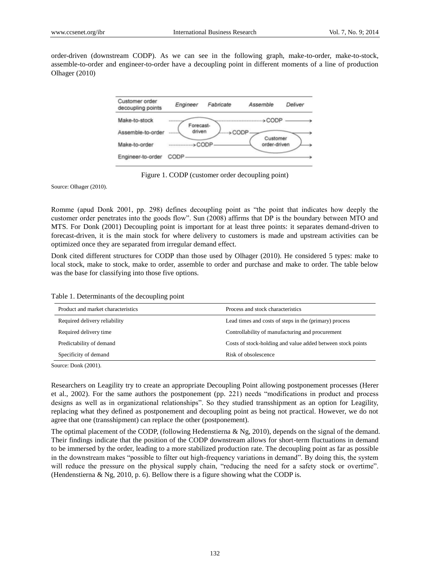order-driven (downstream CODP). As we can see in the following graph, make-to-order, make-to-stock, assemble-to-order and engineer-to-order have a decoupling point in different moments of a line of production Olhager (2010)



Figure 1. CODP (customer order decoupling point)

Source: Olhager (2010).

Romme (apud Donk 2001, pp. 298) defines decoupling point as "the point that indicates how deeply the customer order penetrates into the goods flow". Sun (2008) affirms that DP is the boundary between MTO and MTS. For Donk (2001) Decoupling point is important for at least three points: it separates demand-driven to forecast-driven, it is the main stock for where delivery to customers is made and upstream activities can be optimized once they are separated from irregular demand effect.

Donk cited different structures for CODP than those used by Olhager (2010). He considered 5 types: make to local stock, make to stock, make to order, assemble to order and purchase and make to order. The table below was the base for classifying into those five options.

Table 1. Determinants of the decoupling point

| Product and market characteristics | Process and stock characteristics                           |
|------------------------------------|-------------------------------------------------------------|
| Required delivery reliability      | Lead times and costs of steps in the (primary) process      |
| Required delivery time             | Controllability of manufacturing and procurement            |
| Predictability of demand           | Costs of stock-holding and value added between stock points |
| Specificity of demand              | Risk of obsolescence                                        |

Source: Donk (2001).

Researchers on Leagility try to create an appropriate Decoupling Point allowing postponement processes (Herer et al., 2002). For the same authors the postponement (pp. 221) needs "modifications in product and process designs as well as in organizational relationships". So they studied transshipment as an option for Leagility, replacing what they defined as postponement and decoupling point as being not practical. However, we do not agree that one (transshipment) can replace the other (postponement).

The optimal placement of the CODP, (following Hedenstierna & Ng, 2010), depends on the signal of the demand. Their findings indicate that the position of the CODP downstream allows for short-term fluctuations in demand to be immersed by the order, leading to a more stabilized production rate. The decoupling point as far as possible in the downstream makes "possible to filter out high-frequency variations in demand". By doing this, the system will reduce the pressure on the physical supply chain, "reducing the need for a safety stock or overtime". (Hendenstierna & Ng, 2010, p. 6). Bellow there is a figure showing what the CODP is.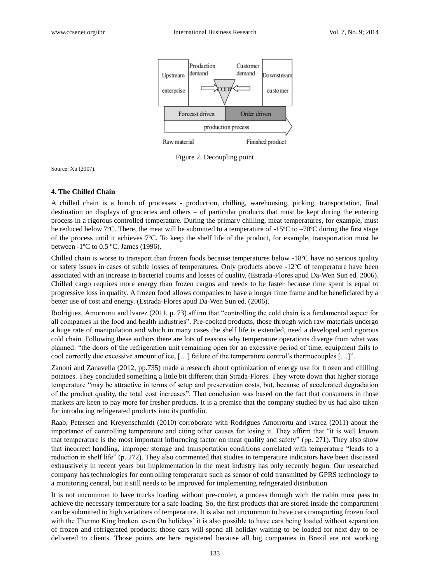

Figure 2. Decoupling point

Source: Xu (2007).

## **4. The Chilled Chain**

A chilled chain is a bunch of processes - production, chilling, warehousing, picking, transportation, final destination on displays of groceries and others – of particular products that must be kept during the entering process in a rigorous controlled temperature. During the primary chilling, meat temperatures, for example, must be reduced below 7°C. There, the meat will be submitted to a temperature of -15 $\degree$ C to -70 $\degree$ C during the first stage of the process until it achieves  $7^\circ$ C. To keep the shelf life of the product, for example, transportation must be between -1  $\mathbb C$  to 0.5  $\mathbb C$ . James (1996).

Chilled chain is worse to transport than frozen foods because temperatures below  $-18 \, \text{°C}$  have no serious quality or safety issues in cases of subtle losses of temperatures. Only products above  $-12 \, \text{°C}$  of temperature have been associated with an increase in bacterial counts and losses of quality, (Estrada-Flores apud Da-Wen Sun ed. 2006). Chilled cargo requires more energy than frozen cargos and needs to be faster because time spent is equal to progressive loss in quality. A frozen food allows companies to have a longer time frame and be beneficiated by a better use of cost and energy. (Estrada-Flores apud Da-Wen Sun ed. (2006).

Rodriguez, Amorrortu and Ivarez (2011, p. 73) affirm that "controlling the cold chain is a fundamental aspect for all companies in the food and health industries". Pre-cooked products, those through wich raw materials undergo a huge rate of manipulation and which in many cases the shelf life is extended, need a developed and rigorous cold chain. Following these authors there are lots of reasons why temperature operations diverge from what was planned: "the doors of the refrigeration unit remaining open for an excessive period of time, equipment fails to cool correctly due excessive amount of ice, […] failure of the temperature control's thermocouples […]".

Zanoni and Zanavella (2012, pp.735) made a research about optimization of energy use for frozen and chilling potatoes. They concluded something a little bit different than Strada-Flores. They wrote down that higher storage temperature "may be attractive in terms of setup and preservation costs, but, because of accelerated degradation of the product quality, the total cost increases". That conclusion was based on the fact that consumers in those markets are keen to pay more for fresher products. It is a premise that the company studied by us had also taken for introducing refrigerated products into its portfolio.

Raab, Petersen and Kreyenschmidt (2010) corroborate with Rodrigues Amorrortu and lvarez (2011) about the importance of controlling temperature and citing other causes for losing it. They affirm that "it is well known that temperature is the most important influencing factor on meat quality and safety" (pp. 271). They also show that incorrect handling, improper storage and transportation conditions correlated with temperature "leads to a reduction in shelf life" (p. 272). They also commented that studies in temperature indicators have been discussed exhaustively in recent years but implementation in the meat industry has only recently begun. Our researched company has technologies for controlling temperature such as sensor of cold transmitted by GPRS technology to a monitoring central, but it still needs to be improved for implementing refrigerated distribution.

It is not uncommon to have trucks loading without pre-cooler, a process through wich the cabin must pass to achieve the necessary temperature for a safe loading. So, the first products that are stored inside the compartment can be submitted to high variations of temperature. It is also not uncommon to have cars transporting frozen food with the Thermo King broken. even On holidays' it is also possible to have cars being loaded without separation of frozen and refrigerated products; those cars will spend all holiday waiting to be loaded for next day to be delivered to clients. Those points are here registered because all big companies in Brazil are not working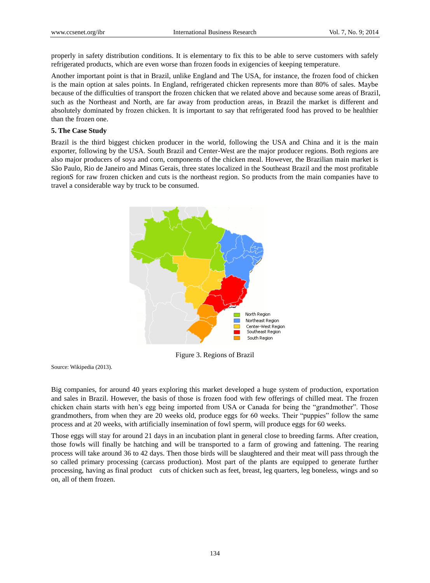properly in safety distribution conditions. It is elementary to fix this to be able to serve customers with safely refrigerated products, which are even worse than frozen foods in exigencies of keeping temperature.

Another important point is that in Brazil, unlike England and The USA, for instance, the frozen food of chicken is the main option at sales points. In England, refrigerated chicken represents more than 80% of sales. Maybe because of the difficulties of transport the frozen chicken that we related above and because some areas of Brazil, such as the Northeast and North, are far away from production areas, in Brazil the market is different and absolutely dominated by frozen chicken. It is important to say that refrigerated food has proved to be healthier than the frozen one.

## **5. The Case Study**

Brazil is the third biggest chicken producer in the world, following the USA and China and it is the main exporter, following by the USA. South Brazil and Center-West are the major producer regions. Both regions are also major producers of soya and corn, components of the chicken meal. However, the Brazilian main market is São Paulo, Rio de Janeiro and Minas Gerais, three states localized in the Southeast Brazil and the most profitable regionS for raw frozen chicken and cuts is the northeast region. So products from the main companies have to travel a considerable way by truck to be consumed.



Figure 3. Regions of Brazil

Source: Wikipedia (2013).

Big companies, for around 40 years exploring this market developed a huge system of production, exportation and sales in Brazil. However, the basis of those is frozen food with few offerings of chilled meat. The frozen chicken chain starts with hen's egg being imported from USA or Canada for being the "grandmother". Those grandmothers, from when they are 20 weeks old, produce eggs for 60 weeks. Their "puppies" follow the same process and at 20 weeks, with artificially insemination of fowl sperm, will produce eggs for 60 weeks.

Those eggs will stay for around 21 days in an incubation plant in general close to breeding farms. After creation, those fowls will finally be hatching and will be transported to a farm of growing and fattening. The rearing process will take around 36 to 42 days. Then those birds will be slaughtered and their meat will pass through the so called primary processing (carcass production). Most part of the plants are equipped to generate further processing, having as final product cuts of chicken such as feet, breast, leg quarters, leg boneless, wings and so on, all of them frozen.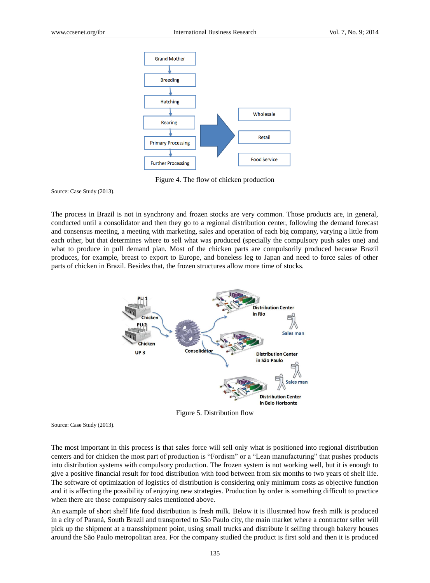

Figure 4. The flow of chicken production

Source: Case Study (2013).

The process in Brazil is not in synchrony and frozen stocks are very common. Those products are, in general, conducted until a consolidator and then they go to a regional distribution center, following the demand forecast and consensus meeting, a meeting with marketing, sales and operation of each big company, varying a little from each other, but that determines where to sell what was produced (specially the compulsory push sales one) and what to produce in pull demand plan. Most of the chicken parts are compulsorily produced because Brazil produces, for example, breast to export to Europe, and boneless leg to Japan and need to force sales of other parts of chicken in Brazil. Besides that, the frozen structures allow more time of stocks.



Figure 5. Distribution flow

Source: Case Study (2013).

The most important in this process is that sales force will sell only what is positioned into regional distribution centers and for chicken the most part of production is "Fordism" or a "Lean manufacturing" that pushes products into distribution systems with compulsory production. The frozen system is not working well, but it is enough to give a positive financial result for food distribution with food between from six months to two years of shelf life. The software of optimization of logistics of distribution is considering only minimum costs as objective function and it is affecting the possibility of enjoying new strategies. Production by order is something difficult to practice when there are those compulsory sales mentioned above.

An example of short shelf life food distribution is fresh milk. Below it is illustrated how fresh milk is produced in a city of Paraná, South Brazil and transported to São Paulo city, the main market where a contractor seller will pick up the shipment at a transshipment point, using small trucks and distribute it selling through bakery houses around the São Paulo metropolitan area. For the company studied the product is first sold and then it is produced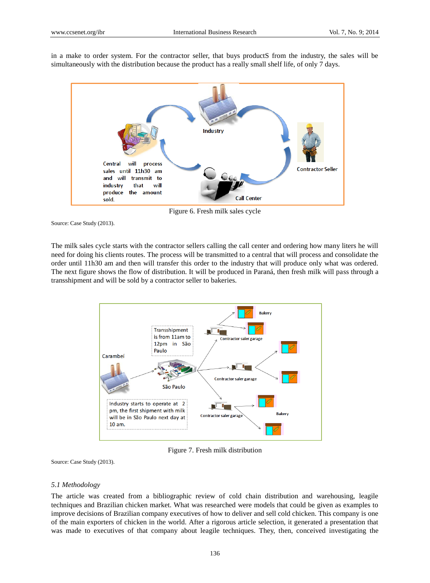in a make to order system. For the contractor seller, that buys productS from the industry, the sales will be simultaneously with the distribution because the product has a really small shelf life, of only 7 days.



Figure 6. Fresh milk sales cycle

Source: Case Study (2013).

The milk sales cycle starts with the contractor sellers calling the call center and ordering how many liters he will need for doing his clients routes. The process will be transmitted to a central that will process and consolidate the order until 11h30 am and then will transfer this order to the industry that will produce only what was ordered. The next figure shows the flow of distribution. It will be produced in Paraná, then fresh milk will pass through a transshipment and will be sold by a contractor seller to bakeries.



Figure 7. Fresh milk distribution

Source: Case Study (2013).

#### *5.1 Methodology*

The article was created from a bibliographic review of cold chain distribution and warehousing, leagile techniques and Brazilian chicken market. What was researched were models that could be given as examples to improve decisions of Brazilian company executives of how to deliver and sell cold chicken. This company is one of the main exporters of chicken in the world. After a rigorous article selection, it generated a presentation that was made to executives of that company about leagile techniques. They, then, conceived investigating the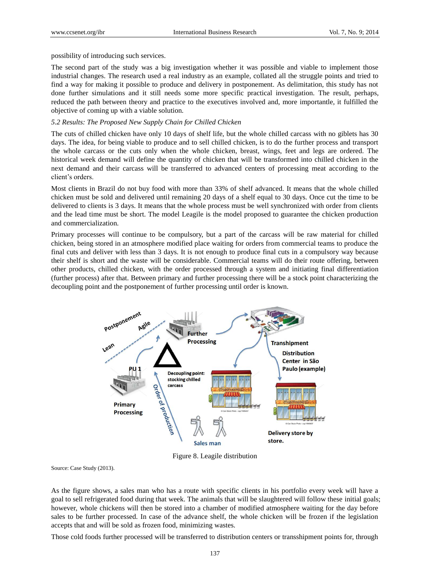possibility of introducing such services.

The second part of the study was a big investigation whether it was possible and viable to implement those industrial changes. The research used a real industry as an example, collated all the struggle points and tried to find a way for making it possible to produce and delivery in postponement. As delimitation, this study has not done further simulations and it still needs some more specific practical investigation. The result, perhaps, reduced the path between theory and practice to the executives involved and, more importantle, it fulfilled the objective of coming up with a viable solution.

## *5.2 Results: The Proposed New Supply Chain for Chilled Chicken*

The cuts of chilled chicken have only 10 days of shelf life, but the whole chilled carcass with no giblets has 30 days. The idea, for being viable to produce and to sell chilled chicken, is to do the further process and transport the whole carcass or the cuts only when the whole chicken, breast, wings, feet and legs are ordered. The historical week demand will define the quantity of chicken that will be transformed into chilled chicken in the next demand and their carcass will be transferred to advanced centers of processing meat according to the client's orders.

Most clients in Brazil do not buy food with more than 33% of shelf advanced. It means that the whole chilled chicken must be sold and delivered until remaining 20 days of a shelf equal to 30 days. Once cut the time to be delivered to clients is 3 days. It means that the whole process must be well synchronized with order from clients and the lead time must be short. The model Leagile is the model proposed to guarantee the chicken production and commercialization.

Primary processes will continue to be compulsory, but a part of the carcass will be raw material for chilled chicken, being stored in an atmosphere modified place waiting for orders from commercial teams to produce the final cuts and deliver with less than 3 days. It is not enough to produce final cuts in a compulsory way because their shelf is short and the waste will be considerable. Commercial teams will do their route offering, between other products, chilled chicken, with the order processed through a system and initiating final differentiation (further process) after that. Between primary and further processing there will be a stock point characterizing the decoupling point and the postponement of further processing until order is known.



Figure 8. Leagile distribution

Source: Case Study (2013).

As the figure shows, a sales man who has a route with specific clients in his portfolio every week will have a goal to sell refrigerated food during that week. The animals that will be slaughtered will follow these initial goals; however, whole chickens will then be stored into a chamber of modified atmosphere waiting for the day before sales to be further processed. In case of the advance shelf, the whole chicken will be frozen if the legislation accepts that and will be sold as frozen food, minimizing wastes.

Those cold foods further processed will be transferred to distribution centers or transshipment points for, through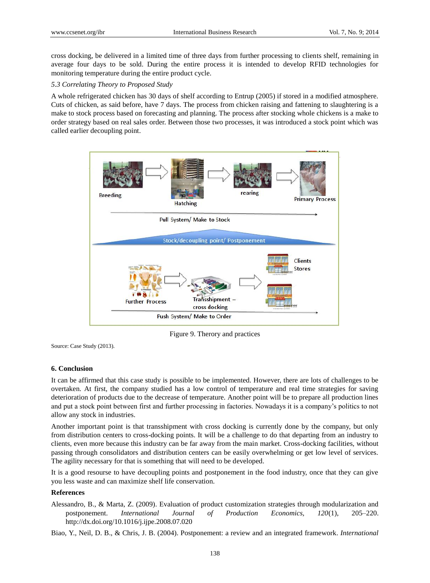cross docking, be delivered in a limited time of three days from further processing to clients shelf, remaining in average four days to be sold. During the entire process it is intended to develop RFID technologies for monitoring temperature during the entire product cycle.

## *5.3 Correlating Theory to Proposed Study*

A whole refrigerated chicken has 30 days of shelf according to Entrup (2005) if stored in a modified atmosphere. Cuts of chicken, as said before, have 7 days. The process from chicken raising and fattening to slaughtering is a make to stock process based on forecasting and planning. The process after stocking whole chickens is a make to order strategy based on real sales order. Between those two processes, it was introduced a stock point which was called earlier decoupling point.



Figure 9. Therory and practices

Source: Case Study (2013).

## **6. Conclusion**

It can be affirmed that this case study is possible to be implemented. However, there are lots of challenges to be overtaken. At first, the company studied has a low control of temperature and real time strategies for saving deterioration of products due to the decrease of temperature. Another point will be to prepare all production lines and put a stock point between first and further processing in factories. Nowadays it is a company's politics to not allow any stock in industries.

Another important point is that transshipment with cross docking is currently done by the company, but only from distribution centers to cross-docking points. It will be a challenge to do that departing from an industry to clients, even more because this industry can be far away from the main market. Cross-docking facilities, without passing through consolidators and distribution centers can be easily overwhelming or get low level of services. The agility necessary for that is something that will need to be developed.

It is a good resourse to have decoupling points and postponement in the food industry, once that they can give you less waste and can maximize shelf life conservation.

## **References**

Alessandro, B., & Marta, Z. (2009). Evaluation of product customization strategies through modularization and postponement. *International Journal of Production Economics, 120*(1), 205–220. http://dx.doi.org/10.1016/j.ijpe.2008.07.020

Biao, Y., Neil, D. B., & Chris, J. B. (2004). Postponement: a review and an integrated framework. *International*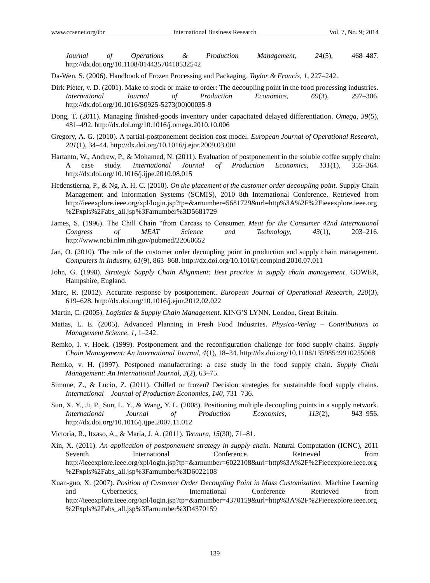*Journal of Operations & Production Management, 24*(5), 468–487. http://dx.doi.org/10.1108/01443570410532542

- Da-Wen, S. (2006). Handbook of Frozen Processing and Packaging. *Taylor & Francis, 1*, 227–242.
- Dirk Pieter, v. D. (2001). Make to stock or make to order: The decoupling point in the food processing industries. *International Journal of Production Economics, 69*(3), 297–306. http://dx.doi.org/10.1016/S0925-5273(00)00035-9
- Dong, T. (2011). Managing finished-goods inventory under capacitated delayed differentiation. *Omega, 39*(5), 481–492. http://dx.doi.org/10.1016/j.omega.2010.10.006
- Gregory, A. G. (2010). A partial-postponement decision cost model. *European Journal of Operational Research, 201*(1), 34–44. http://dx.doi.org/10.1016/j.ejor.2009.03.001
- Hartanto, W., Andrew, P., & Mohamed, N. (2011). Evaluation of postponement in the soluble coffee supply chain: A case study. *International Journal of Production Economics, 131*(1), 355–364. http://dx.doi.org/10.1016/j.ijpe.2010.08.015
- Hedenstierna, P., & Ng, A. H. C. (2010). *On the placement of the customer order decoupling point.* Supply Chain Management and Information Systems (SCMIS), 2010 8th International Conference. Retrieved from http://ieeexplore.ieee.org/xpl/login.jsp?tp=&arnumber=5681729&url=http%3A%2F%2Fieeexplore.ieee.org %2Fxpls%2Fabs\_all.jsp%3Farnumber%3D5681729
- James, S. (1996). The Chill Chain "from Carcass to Consumer. *Meat for the Consumer 42nd International Congress of MEAT Science and Technology, 43*(1), 203–216. http://www.ncbi.nlm.nih.gov/pubmed/22060652
- Jan, O. (2010). The role of the customer order decoupling point in production and supply chain management. *Computers in Industry, 61*(9), 863–868. http://dx.doi.org/10.1016/j.compind.2010.07.011
- John, G. (1998). *Strategic Supply Chain Alignment: Best practice in supply chain management*. GOWER, Hampshire, England.
- Marc, R. (2012). Accurate response by postponement. *European Journal of Operational Research, 220*(3), 619–628. http://dx.doi.org/10.1016/j.ejor.2012.02.022
- Martin, C. (2005). *Logistics & Supply Chain Management*. KING'S LYNN, London, Great Britain.
- Matias, L. E. (2005). Advanced Planning in Fresh Food Industries. *Physica-Verlag – Contributions to Management Science, 1*, 1–242.
- Remko, I. v. Hoek. (1999). Postponement and the reconfiguration challenge for food supply chains. *Supply Chain Management: An International Journal, 4*(1), 18–34. http://dx.doi.org/10.1108/13598549910255068
- Remko, v. H. (1997). Postponed manufacturing: a case study in the food supply chain. *Supply Chain Management: An International Journal, 2*(2), 63–75.
- Simone, Z., & Lucio, Z. (2011). Chilled or frozen? Decision strategies for sustainable food supply chains. *International Journal of Production Economics, 140*, 731–736.
- Sun, X. Y., Ji, P., Sun, L. Y., & Wang, Y. L. (2008). Positioning multiple decoupling points in a supply network. *International Journal of Production Economics, 113*(2), 943–956. http://dx.doi.org/10.1016/j.ijpe.2007.11.012
- Victoria, R., Itxaso, A., & Maria, J. A. (2011). *Tecnura, 15*(30), 71–81.
- Xin, X. (2011). *An application of postponement strategy in supply chain*. Natural Computation (ICNC), 2011 Seventh International Conference. Retrieved from http://ieeexplore.ieee.org/xpl/login.jsp?tp=&arnumber=6022108&url=http%3A%2F%2Fieeexplore.ieee.org %2Fxpls%2Fabs\_all.jsp%3Farnumber%3D6022108
- Xuan-guo, X. (2007). *Position of Customer Order Decoupling Point in Mass Customization.* Machine Learning and Cybernetics, International Conference Retrieved from http://ieeexplore.ieee.org/xpl/login.jsp?tp=&arnumber=4370159&url=http%3A%2F%2Fieeexplore.ieee.org %2Fxpls%2Fabs\_all.jsp%3Farnumber%3D4370159